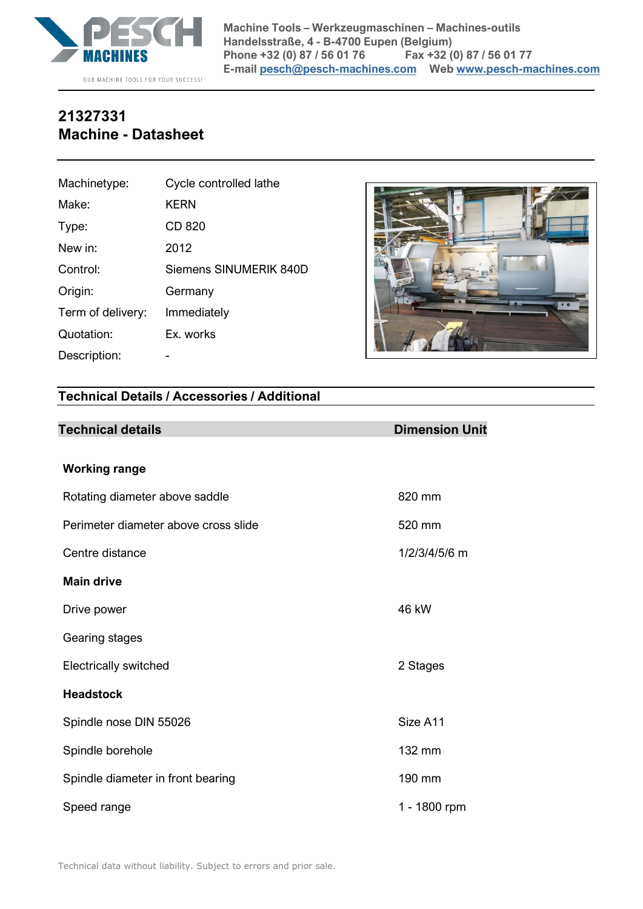

## **21327331 Machine - Datasheet**

| Machinetype:      | Cycle controlled lathe        |
|-------------------|-------------------------------|
| Make:             | <b>KERN</b>                   |
| Type:             | CD 820                        |
| New in:           | 2012                          |
| Control:          | <b>Siemens SINUMERIK 840D</b> |
| Origin:           | Germany                       |
| Term of delivery: | Immediately                   |
| Quotation:        | Ex. works                     |
| Description:      |                               |



## **Technical Details / Accessories / Additional**

| <b>Technical details</b>             | <b>Dimension Unit</b> |
|--------------------------------------|-----------------------|
| <b>Working range</b>                 |                       |
| Rotating diameter above saddle       | 820 mm                |
| Perimeter diameter above cross slide | 520 mm                |
| Centre distance                      | 1/2/3/4/5/6 m         |
| <b>Main drive</b>                    |                       |
| Drive power                          | 46 kW                 |
| Gearing stages                       |                       |
| <b>Electrically switched</b>         | 2 Stages              |
| <b>Headstock</b>                     |                       |
| Spindle nose DIN 55026               | Size A11              |
| Spindle borehole                     | 132 mm                |
| Spindle diameter in front bearing    | 190 mm                |
| Speed range                          | 1 - 1800 rpm          |